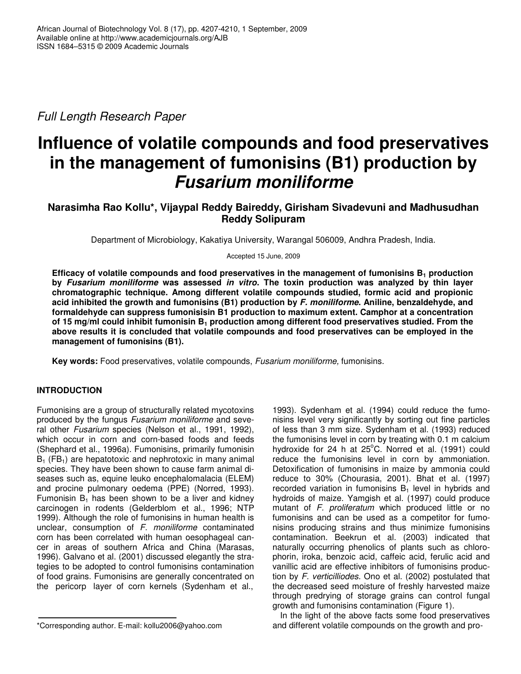*Full Length Research Paper*

# **Influence of volatile compounds and food preservatives in the management of fumonisins (B1) production by** *Fusarium moniliforme*

# **Narasimha Rao Kollu\*, Vijaypal Reddy Baireddy, Girisham Sivadevuni and Madhusudhan Reddy Solipuram**

Department of Microbiology, Kakatiya University, Warangal 506009, Andhra Pradesh, India.

Accepted 15 June, 2009

**Efficacy of volatile compounds and food preservatives in the management of fumonisins B<sup>1</sup> production by** *Fusarium moniliforme* **was assessed** *in vitro***. The toxin production was analyzed by thin layer chromatographic technique. Among different volatile compounds studied, formic acid and propionic acid inhibited the growth and fumonisins (B1) production by** *F. moniliforme***. Aniline, benzaldehyde, and formaldehyde can suppress fumonisisin B1 production to maximum extent. Camphor at a concentration of 15 mg/ml could inhibit fumonisin B<sup>1</sup> production among different food preservatives studied. From the above results it is concluded that volatile compounds and food preservatives can be employed in the management of fumonisins (B1).**

**Key words:** Food preservatives, volatile compounds, *Fusarium moniliforme,* fumonisins.

# **INTRODUCTION**

Fumonisins are a group of structurally related mycotoxins produced by the fungus *Fusarium moniliforme* and several other *Fusarium* species (Nelson et al., 1991, 1992), which occur in corn and corn-based foods and feeds (Shephard et al., 1996a). Fumonisins, primarily fumonisin  $B_1$  (FB<sub>1</sub>) are hepatotoxic and nephrotoxic in many animal species. They have been shown to cause farm animal diseases such as, equine leuko encephalomalacia (ELEM) and procine pulmonary oedema (PPE) (Norred, 1993). Fumonisin  $B_1$  has been shown to be a liver and kidney carcinogen in rodents (Gelderblom et al., 1996; NTP 1999). Although the role of fumonisins in human health is unclear, consumption of *F. moniliforme* contaminated corn has been correlated with human oesophageal cancer in areas of southern Africa and China (Marasas, 1996). Galvano et al. (2001) discussed elegantly the strategies to be adopted to control fumonisins contamination of food grains. Fumonisins are generally concentrated on the pericorp layer of corn kernels (Sydenham et al.,

1993). Sydenham et al*.* (1994) could reduce the fumonisins level very significantly by sorting out fine particles of less than 3 mm size. Sydenham et al. (1993) reduced the fumonisins level in corn by treating with 0.1 m calcium hydroxide for 24 h at 25°C. Norred et al. (1991) could reduce the fumonisins level in corn by ammoniation. Detoxification of fumonisins in maize by ammonia could reduce to 30% (Chourasia, 2001). Bhat et al. (1997) recorded variation in fumonisins  $B_1$  level in hybrids and hydroids of maize. Yamgish et al. (1997) could produce mutant of *F. proliferatum* which produced little or no fumonisins and can be used as a competitor for fumonisins producing strains and thus minimize fumonisins contamination. Beekrun et al. (2003) indicated that naturally occurring phenolics of plants such as chlorophorin, iroka, benzoic acid, caffeic acid, ferulic acid and vanillic acid are effective inhibitors of fumonisins production by *F. verticilliodes.* Ono et al. (2002) postulated that the decreased seed moisture of freshly harvested maize through predrying of storage grains can control fungal growth and fumonisins contamination (Figure 1).

In the light of the above facts some food preservatives and different volatile compounds on the growth and pro-

<sup>\*</sup>Corresponding author. E-mail: kollu2006@yahoo.com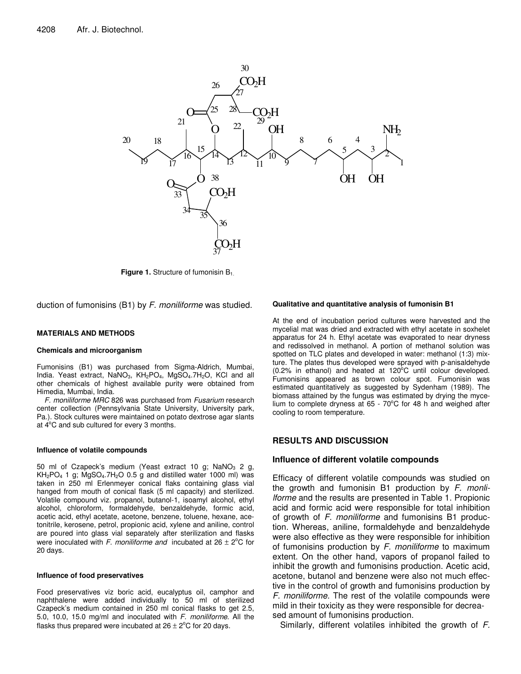

**Figure 1.** Structure of fumonisin B<sub>1.</sub>

duction of fumonisins (B1) by *F. moniliforme* was studied.

#### **MATERIALS AND METHODS**

#### **Chemicals and microorganism**

Fumonisins (B1) was purchased from Sigma-Aldrich, Mumbai, India. Yeast extract, NaNO<sub>3</sub>, KH<sub>2</sub>PO<sub>4</sub>, MgSO<sub>4</sub>.7H<sub>2</sub>O, KCl and all other chemicals of highest available purity were obtained from Himedia, Mumbai, India.

*F. moniliforme MRC* 826 was purchased from *Fusarium* research center collection (Pennsylvania State University, University park, Pa.). Stock cultures were maintained on potato dextrose agar slants at 4°C and sub cultured for every 3 months.

#### **Influence of volatile compounds**

50 ml of Czapeck's medium (Yeast extract 10 g;  $NaNO<sub>3</sub>$  2 g,  $KH<sub>2</sub>PO<sub>4</sub>$  1 g; MgSO<sub>4</sub>.7H<sub>2</sub>O 0.5 g and distilled water 1000 ml) was taken in 250 ml Erlenmeyer conical flaks containing glass vial hanged from mouth of conical flask (5 ml capacity) and sterilized. Volatile compound viz. propanol, butanol-1, isoamyl alcohol, ethyl alcohol, chloroform, formaldehyde, benzaldehyde, formic acid, acetic acid, ethyl acetate, acetone, benzene, toluene, hexane, acetonitrile, kerosene, petrol, propionic acid, xylene and aniline, control are poured into glass vial separately after sterilization and flasks were inoculated with  $F$ . *moniliforme and* incubated at  $26 \pm 2^{\circ}$ C for 20 days.

#### **Influence of food preservatives**

Food preservatives viz boric acid, eucalyptus oil, camphor and naphthalene were added individually to 50 ml of sterilized Czapeck's medium contained in 250 ml conical flasks to get 2.5, 5.0, 10.0, 15.0 mg/ml and inoculated with *F. moniliforme*. All the flasks thus prepared were incubated at  $26 \pm 2^{\circ}$ C for 20 days.

#### **Qualitative and quantitative analysis of fumonisin B1**

At the end of incubation period cultures were harvested and the mycelial mat was dried and extracted with ethyl acetate in soxhelet apparatus for 24 h. Ethyl acetate was evaporated to near dryness and redissolved in methanol. A portion of methanol solution was spotted on TLC plates and developed in water: methanol (1:3) mixture. The plates thus developed were sprayed with p-anisaldehyde  $(0.2\%$  in ethanol) and heated at 120 $^{\circ}$ C until colour developed. Fumonisins appeared as brown colour spot. Fumonisin was estimated quantitatively as suggested by Sydenham (1989)*.* The biomass attained by the fungus was estimated by drying the mycelium to complete dryness at 65 - 70°C for 48 h and weighed after cooling to room temperature.

### **RESULTS AND DISCUSSION**

#### **Influence of different volatile compounds**

Efficacy of different volatile compounds was studied on the growth and fumonisin B1 production by *F. monlilforme* and the results are presented in Table 1. Propionic acid and formic acid were responsible for total inhibition of growth of *F. moniliforme* and fumonisins B1 production. Whereas, aniline, formaldehyde and benzaldehyde were also effective as they were responsible for inhibition of fumonisins production by *F. moniliforme* to maximum extent. On the other hand, vapors of propanol failed to inhibit the growth and fumonisins production. Acetic acid, acetone, butanol and benzene were also not much effective in the control of growth and fumonisins production by *F. moniliforme.* The rest of the volatile compounds were mild in their toxicity as they were responsible for decreased amount of fumonisins production.

Similarly, different volatiles inhibited the growth of *F.*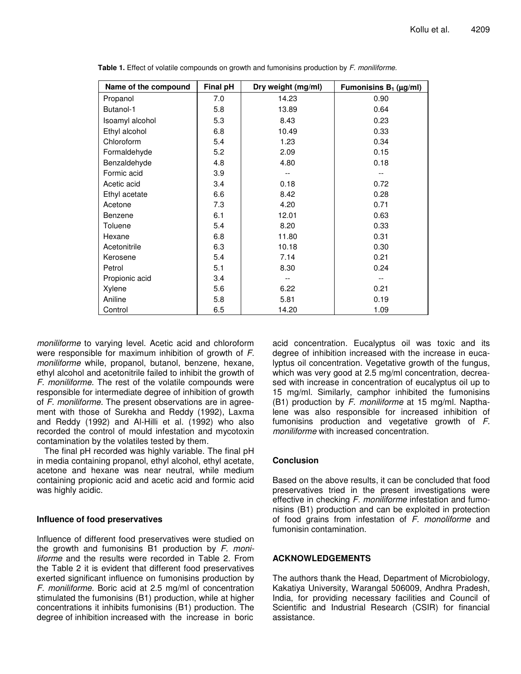| Name of the compound | Final pH | Dry weight (mg/ml) | Fumonisins $B_1$ ( $\mu$ g/ml) |
|----------------------|----------|--------------------|--------------------------------|
| Propanol             | 7.0      | 14.23              | 0.90                           |
| Butanol-1            | 5.8      | 13.89              | 0.64                           |
| Isoamyl alcohol      | 5.3      | 8.43               | 0.23                           |
| Ethyl alcohol        | 6.8      | 10.49              | 0.33                           |
| Chloroform           | 5.4      | 1.23               | 0.34                           |
| Formaldehyde         | 5.2      | 2.09               | 0.15                           |
| Benzaldehyde         | 4.8      | 4.80               | 0.18                           |
| Formic acid          | 3.9      |                    |                                |
| Acetic acid          | 3.4      | 0.18               | 0.72                           |
| Ethyl acetate        | 6.6      | 8.42               | 0.28                           |
| Acetone              | 7.3      | 4.20               | 0.71                           |
| Benzene              | 6.1      | 12.01              | 0.63                           |
| Toluene              | 5.4      | 8.20               | 0.33                           |
| Hexane               | 6.8      | 11.80              | 0.31                           |
| Acetonitrile         | 6.3      | 10.18              | 0.30                           |
| Kerosene             | 5.4      | 7.14               | 0.21                           |
| Petrol               | 5.1      | 8.30               | 0.24                           |
| Propionic acid       | 3.4      |                    |                                |
| Xylene               | 5.6      | 6.22               | 0.21                           |
| Aniline              | 5.8      | 5.81               | 0.19                           |
| Control              | 6.5      | 14.20              | 1.09                           |

**Table 1.** Effect of volatile compounds on growth and fumonisins production by *F. moniliforme.*

*moniliforme* to varying level. Acetic acid and chloroform were responsible for maximum inhibition of growth of *F. moniliforme* while, propanol, butanol, benzene, hexane, ethyl alcohol and acetonitrile failed to inhibit the growth of *F. moniliforme.* The rest of the volatile compounds were responsible for intermediate degree of inhibition of growth of *F. moniliforme.* The present observations are in agreement with those of Surekha and Reddy (1992), Laxma and Reddy (1992) and Al-Hilli et al. (1992) who also recorded the control of mould infestation and mycotoxin contamination by the volatiles tested by them.

The final pH recorded was highly variable. The final pH in media containing propanol, ethyl alcohol, ethyl acetate, acetone and hexane was near neutral, while medium containing propionic acid and acetic acid and formic acid was highly acidic.

## **Influence of food preservatives**

Influence of different food preservatives were studied on the growth and fumonisins B1 production by *F. moniliforme* and the results were recorded in Table 2. From the Table 2 it is evident that different food preservatives exerted significant influence on fumonisins production by *F. moniliforme.* Boric acid at 2.5 mg/ml of concentration stimulated the fumonisins (B1) production, while at higher concentrations it inhibits fumonisins (B1) production. The degree of inhibition increased with the increase in boric

acid concentration. Eucalyptus oil was toxic and its degree of inhibition increased with the increase in eucalyptus oil concentration. Vegetative growth of the fungus, which was very good at 2.5 mg/ml concentration, decreased with increase in concentration of eucalyptus oil up to 15 mg/ml. Similarly, camphor inhibited the fumonisins (B1) production by *F. moniliforme* at 15 mg/ml. Napthalene was also responsible for increased inhibition of fumonisins production and vegetative growth of *F. moniliforme* with increased concentration.

## **Conclusion**

Based on the above results, it can be concluded that food preservatives tried in the present investigations were effective in checking *F. moniliforme* infestation and fumonisins (B1) production and can be exploited in protection of food grains from infestation of *F. monoliforme* and fumonisin contamination.

# **ACKNOWLEDGEMENTS**

The authors thank the Head, Department of Microbiology, Kakatiya University, Warangal 506009, Andhra Pradesh, India, for providing necessary facilities and Council of Scientific and Industrial Research (CSIR) for financial assistance.